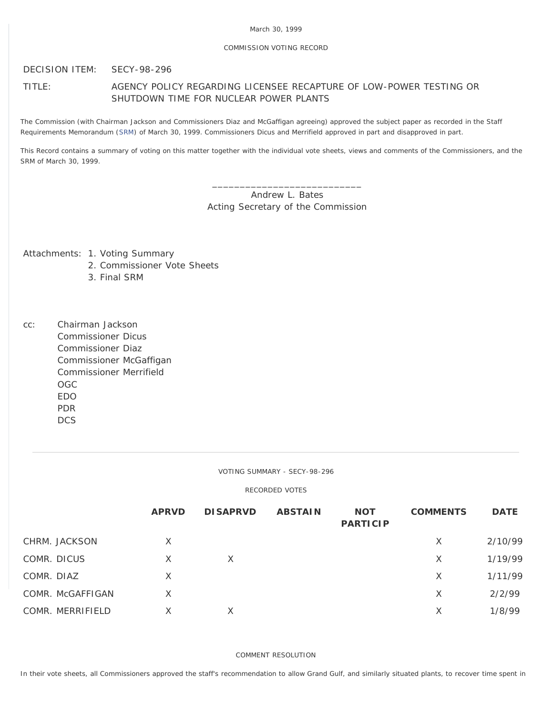## COMMISSION VOTING RECORD

DECISION ITEM: SECY-98-296

# TITLE: AGENCY POLICY REGARDING LICENSEE RECAPTURE OF LOW-POWER TESTING OR SHUTDOWN TIME FOR NUCLEAR POWER PLANTS

The Commission (with Chairman Jackson and Commissioners Diaz and McGaffigan agreeing) approved the subject paper as recorded in the Staff Requirements Memorandum ([SRM](http://www.nrc.gov/reading-rm/doc-collections/commission/srm/1998/1998-296srm.html)) of March 30, 1999. Commissioners Dicus and Merrifield approved in part and disapproved in part.

This Record contains a summary of voting on this matter together with the individual vote sheets, views and comments of the Commissioners, and the SRM of March 30, 1999.

> \_\_\_\_\_\_\_\_\_\_\_\_\_\_\_\_\_\_\_\_\_\_\_\_\_\_\_ Andrew L. Bates Acting Secretary of the Commission

Attachments: 1. Voting Summary

- 2. Commissioner Vote Sheets
- 3. Final SRM

cc: Chairman Jackson Commissioner Dicus Commissioner Diaz Commissioner McGaffigan Commissioner Merrifield OGC EDO PDR **DCS** 

VOTING SUMMARY - SECY-98-296

RECORDED VOTES

|            |                  | <b>APRVD</b> | <b>DISAPRVD</b> | <b>ABSTAIN</b> | <b>NOT</b><br><b>PARTICIP</b> | <b>COMMENTS</b> | <b>DATE</b> |
|------------|------------------|--------------|-----------------|----------------|-------------------------------|-----------------|-------------|
|            | CHRM. JACKSON    | X            |                 |                |                               | $\times$        | 2/10/99     |
|            | COMR. DICUS      | X            | X               |                |                               | X               | 1/19/99     |
| COMR. DIAZ |                  | X            |                 |                |                               | X               | 1/11/99     |
|            | COMR. McGAFFIGAN | X            |                 |                |                               | X               | 2/2/99      |
|            | COMR. MERRIFIELD | X            | Χ               |                |                               | X               | 1/8/99      |

COMMENT RESOLUTION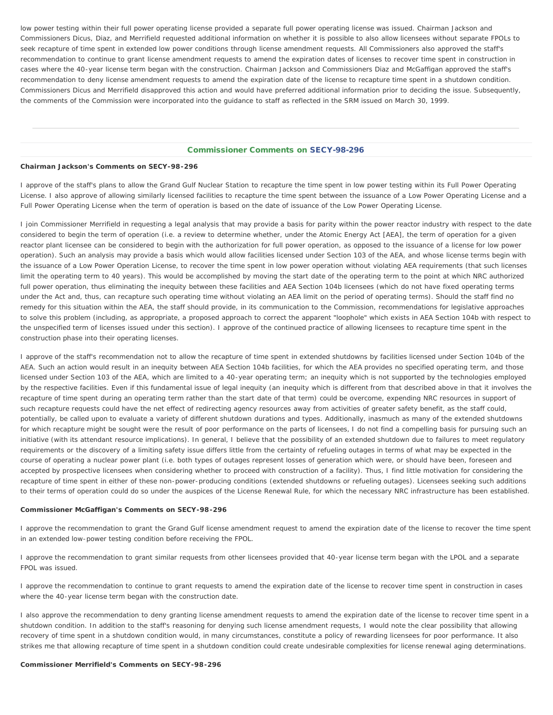low power testing within their full power operating license provided a separate full power operating license was issued. Chairman Jackson and Commissioners Dicus, Diaz, and Merrifield requested additional information on whether it is possible to also allow licensees without separate FPOLs to seek recapture of time spent in extended low power conditions through license amendment requests. All Commissioners also approved the staff's recommendation to continue to grant license amendment requests to amend the expiration dates of licenses to recover time spent in construction in cases where the 40-year license term began with the construction. Chairman Jackson and Commissioners Diaz and McGaffigan approved the staff's recommendation to deny license amendment requests to amend the expiration date of the license to recapture time spent in a shutdown condition. Commissioners Dicus and Merrifield disapproved this action and would have preferred additional information prior to deciding the issue. Subsequently, the comments of the Commission were incorporated into the guidance to staff as reflected in the SRM issued on March 30, 1999.

## Commissioner Comments on [SECY-98-296](http://www.nrc.gov/reading-rm/doc-collections/commission/secys/1998/secy1998-296/1998-296scy.html)

### **Chairman Jackson's Comments on SECY-98-296**

I approve of the staff's plans to allow the Grand Gulf Nuclear Station to recapture the time spent in low power testing within its Full Power Operating License. I also approve of allowing similarly licensed facilities to recapture the time spent between the issuance of a Low Power Operating License and a Full Power Operating License when the term of operation is based on the date of issuance of the Low Power Operating License.

I join Commissioner Merrifield in requesting a legal analysis that may provide a basis for parity within the power reactor industry with respect to the date considered to begin the term of operation (i.e. a review to determine whether, under the Atomic Energy Act [AEA], the term of operation for a given reactor plant licensee can be considered to begin with the authorization for full power operation, as opposed to the issuance of a license for low power operation). Such an analysis may provide a basis which would allow facilities licensed under Section 103 of the AEA, and whose license terms begin with the issuance of a Low Power Operation License, to recover the time spent in low power operation without violating AEA requirements (that such licenses limit the operating term to 40 years). This would be accomplished by moving the start date of the operating term to the point at which NRC authorized full power operation, thus eliminating the inequity between these facilities and AEA Section 104b licensees (which do not have fixed operating terms under the Act and, thus, can recapture such operating time without violating an AEA limit on the period of operating terms). Should the staff find no remedy for this situation within the AEA, the staff should provide, in its communication to the Commission, recommendations for legislative approaches to solve this problem (including, as appropriate, a proposed approach to correct the apparent "loophole" which exists in AEA Section 104b with respect to the unspecified term of licenses issued under this section). I approve of the continued practice of allowing licensees to recapture time spent in the construction phase into their operating licenses.

I approve of the staff's recommendation not to allow the recapture of time spent in extended shutdowns by facilities licensed under Section 104b of the AEA. Such an action would result in an inequity between AEA Section 104b facilities, for which the AEA provides no specified operating term, and those licensed under Section 103 of the AEA, which are limited to a 40-year operating term; an inequity which is not supported by the technologies employed by the respective facilities. Even if this fundamental issue of legal inequity (an inequity which is different from that described above in that it involves the recapture of time spent *during* an operating term rather than the *start date* of that term) could be overcome, expending NRC resources in support of such recapture requests could have the net effect of redirecting agency resources away from activities of greater safety benefit, as the staff could, potentially, be called upon to evaluate a variety of different shutdown durations and types. Additionally, inasmuch as many of the extended shutdowns for which recapture might be sought were the result of poor performance on the parts of licensees, I do not find a compelling basis for pursuing such an initiative (with its attendant resource implications). In general, I believe that the *possibility* of an extended shutdown due to failures to meet regulatory requirements or the discovery of a limiting safety issue differs little from the *certainty* of refueling outages in terms of what may be expected in the course of operating a nuclear power plant (i.e. both types of outages represent losses of generation which were, or should have been, foreseen and accepted by prospective licensees when considering whether to proceed with construction of a facility). Thus, I find little motivation for considering the recapture of time spent in either of these non-power-producing conditions (extended shutdowns or refueling outages). Licensees seeking such additions to their terms of operation could do so under the auspices of the License Renewal Rule, for which the necessary NRC infrastructure has been established.

#### **Commissioner McGaffigan's Comments on SECY-98-296**

I approve the recommendation to grant the Grand Gulf license amendment request to amend the expiration date of the license to recover the time spent in an extended low-power testing condition before receiving the FPOL.

I approve the recommendation to grant similar requests from other licensees provided that 40-year license term began with the LPOL and a separate FPOL was issued.

I approve the recommendation to continue to grant requests to amend the expiration date of the license to recover time spent in construction in cases where the 40-year license term began with the construction date.

I also approve the recommendation to deny granting license amendment requests to amend the expiration date of the license to recover time spent in a shutdown condition. In addition to the staff's reasoning for denying such license amendment requests, I would note the clear possibility that allowing recovery of time spent in a shutdown condition would, in many circumstances, constitute a policy of rewarding licensees for poor performance. It also strikes me that allowing recapture of time spent in a shutdown condition could create undesirable complexities for license renewal aging determinations.

#### **Commissioner Merrifield's Comments on SECY-98-296**